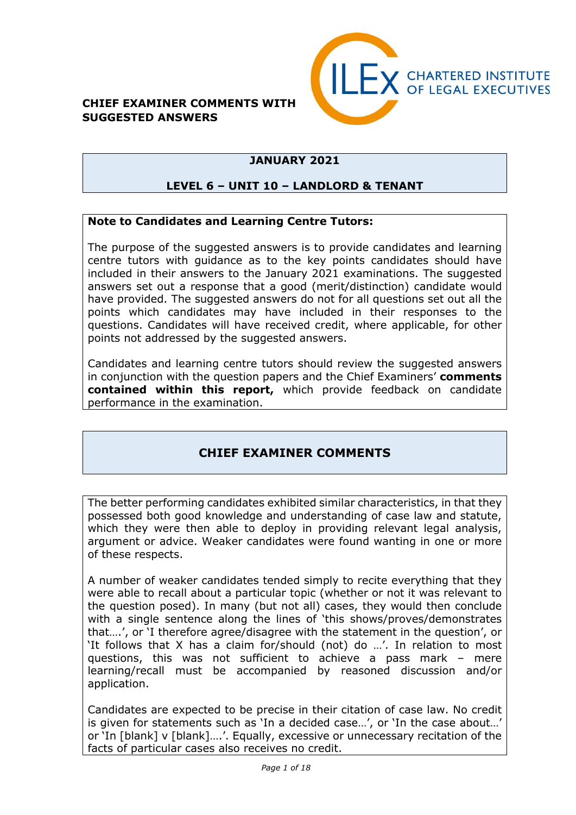#### **CHIEF EXAMINER COMMENTS WITH SUGGESTED ANSWERS**



# **JANUARY 2021**

## **LEVEL 6 – UNIT 10 – LANDLORD & TENANT**

#### **Note to Candidates and Learning Centre Tutors:**

The purpose of the suggested answers is to provide candidates and learning centre tutors with guidance as to the key points candidates should have included in their answers to the January 2021 examinations. The suggested answers set out a response that a good (merit/distinction) candidate would have provided. The suggested answers do not for all questions set out all the points which candidates may have included in their responses to the questions. Candidates will have received credit, where applicable, for other points not addressed by the suggested answers.

Candidates and learning centre tutors should review the suggested answers in conjunction with the question papers and the Chief Examiners' **comments contained within this report,** which provide feedback on candidate performance in the examination.

# **CHIEF EXAMINER COMMENTS**

The better performing candidates exhibited similar characteristics, in that they possessed both good knowledge and understanding of case law and statute, which they were then able to deploy in providing relevant legal analysis, argument or advice. Weaker candidates were found wanting in one or more of these respects.

A number of weaker candidates tended simply to recite everything that they were able to recall about a particular topic (whether or not it was relevant to the question posed). In many (but not all) cases, they would then conclude with a single sentence along the lines of 'this shows/proves/demonstrates that….', or 'I therefore agree/disagree with the statement in the question', or 'It follows that X has a claim for/should (not) do …'. In relation to most questions, this was not sufficient to achieve a pass mark – mere learning/recall must be accompanied by reasoned discussion and/or application.

Candidates are expected to be precise in their citation of case law. No credit is given for statements such as 'In a decided case…', or 'In the case about…' or 'In [blank] v [blank]….'. Equally, excessive or unnecessary recitation of the facts of particular cases also receives no credit.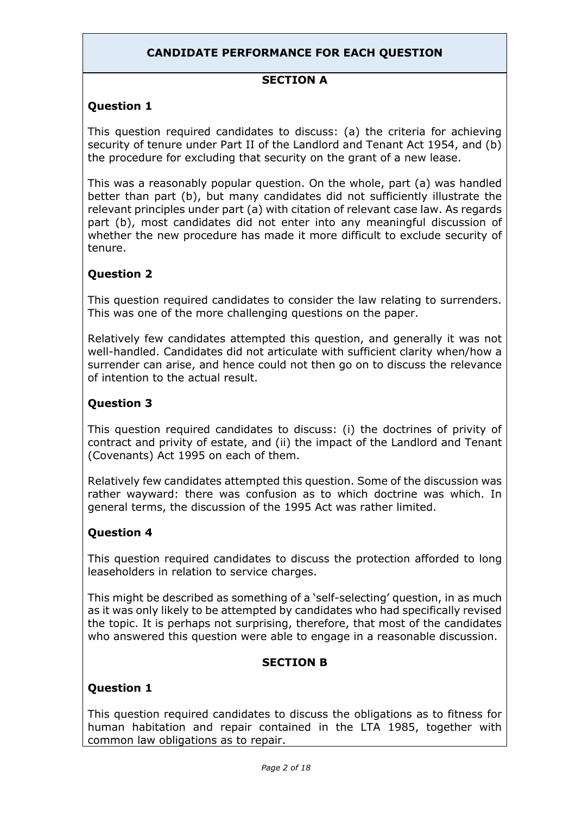## **CANDIDATE PERFORMANCE FOR EACH QUESTION**

#### **SECTION A**

#### **Question 1**

This question required candidates to discuss: (a) the criteria for achieving security of tenure under Part II of the Landlord and Tenant Act 1954, and (b) the procedure for excluding that security on the grant of a new lease.

This was a reasonably popular question. On the whole, part (a) was handled better than part (b), but many candidates did not sufficiently illustrate the relevant principles under part (a) with citation of relevant case law. As regards part (b), most candidates did not enter into any meaningful discussion of whether the new procedure has made it more difficult to exclude security of tenure.

## **Question 2**

This question required candidates to consider the law relating to surrenders. This was one of the more challenging questions on the paper.

Relatively few candidates attempted this question, and generally it was not well-handled. Candidates did not articulate with sufficient clarity when/how a surrender can arise, and hence could not then go on to discuss the relevance of intention to the actual result.

## **Question 3**

This question required candidates to discuss: (i) the doctrines of privity of contract and privity of estate, and (ii) the impact of the Landlord and Tenant (Covenants) Act 1995 on each of them.

Relatively few candidates attempted this question. Some of the discussion was rather wayward: there was confusion as to which doctrine was which. In general terms, the discussion of the 1995 Act was rather limited.

#### **Question 4**

This question required candidates to discuss the protection afforded to long leaseholders in relation to service charges.

This might be described as something of a 'self-selecting' question, in as much as it was only likely to be attempted by candidates who had specifically revised the topic. It is perhaps not surprising, therefore, that most of the candidates who answered this question were able to engage in a reasonable discussion.

#### **SECTION B**

#### **Question 1**

This question required candidates to discuss the obligations as to fitness for human habitation and repair contained in the LTA 1985, together with common law obligations as to repair.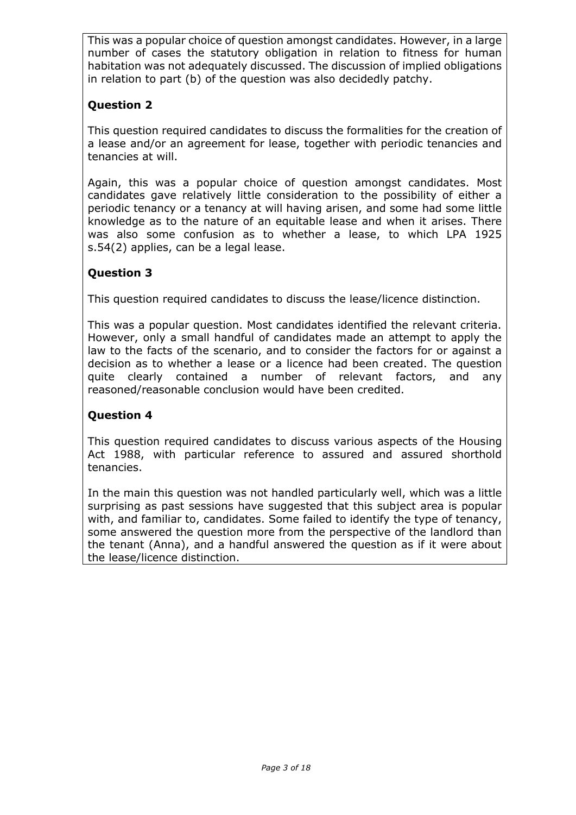This was a popular choice of question amongst candidates. However, in a large number of cases the statutory obligation in relation to fitness for human habitation was not adequately discussed. The discussion of implied obligations in relation to part (b) of the question was also decidedly patchy.

# **Question 2**

This question required candidates to discuss the formalities for the creation of a lease and/or an agreement for lease, together with periodic tenancies and tenancies at will.

Again, this was a popular choice of question amongst candidates. Most candidates gave relatively little consideration to the possibility of either a periodic tenancy or a tenancy at will having arisen, and some had some little knowledge as to the nature of an equitable lease and when it arises. There was also some confusion as to whether a lease, to which LPA 1925 s.54(2) applies, can be a legal lease.

# **Question 3**

This question required candidates to discuss the lease/licence distinction.

This was a popular question. Most candidates identified the relevant criteria. However, only a small handful of candidates made an attempt to apply the law to the facts of the scenario, and to consider the factors for or against a decision as to whether a lease or a licence had been created. The question quite clearly contained a number of relevant factors, and any reasoned/reasonable conclusion would have been credited.

# **Question 4**

This question required candidates to discuss various aspects of the Housing Act 1988, with particular reference to assured and assured shorthold tenancies.

In the main this question was not handled particularly well, which was a little surprising as past sessions have suggested that this subject area is popular with, and familiar to, candidates. Some failed to identify the type of tenancy, some answered the question more from the perspective of the landlord than the tenant (Anna), and a handful answered the question as if it were about the lease/licence distinction.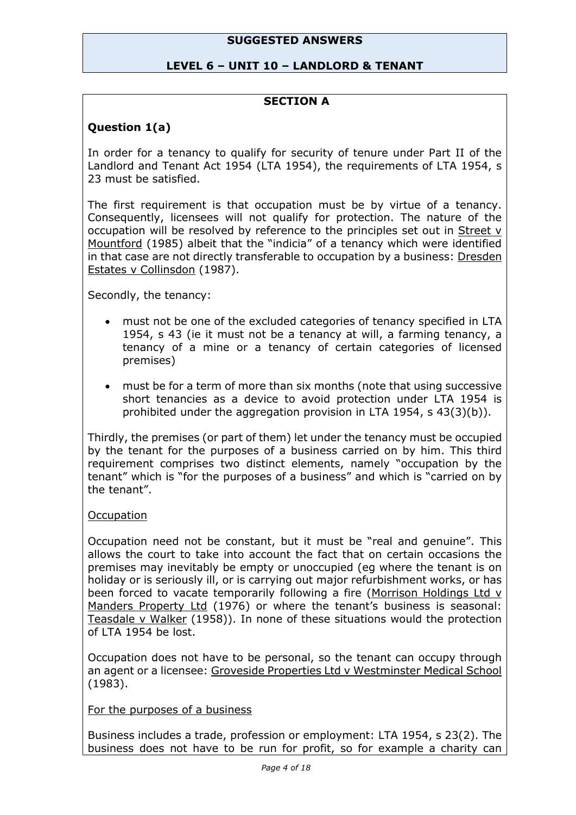#### **SUGGESTED ANSWERS**

#### **LEVEL 6 – UNIT 10 – LANDLORD & TENANT**

#### **SECTION A**

### **Question 1(a)**

In order for a tenancy to qualify for security of tenure under Part II of the Landlord and Tenant Act 1954 (LTA 1954), the requirements of LTA 1954, s 23 must be satisfied.

The first requirement is that occupation must be by virtue of a tenancy. Consequently, licensees will not qualify for protection. The nature of the occupation will be resolved by reference to the principles set out in Street v Mountford (1985) albeit that the "indicia" of a tenancy which were identified in that case are not directly transferable to occupation by a business: Dresden Estates v Collinsdon (1987).

Secondly, the tenancy:

- must not be one of the excluded categories of tenancy specified in LTA 1954, s 43 (ie it must not be a tenancy at will, a farming tenancy, a tenancy of a mine or a tenancy of certain categories of licensed premises)
- must be for a term of more than six months (note that using successive short tenancies as a device to avoid protection under LTA 1954 is prohibited under the aggregation provision in LTA 1954, s 43(3)(b)).

Thirdly, the premises (or part of them) let under the tenancy must be occupied by the tenant for the purposes of a business carried on by him. This third requirement comprises two distinct elements, namely "occupation by the tenant" which is "for the purposes of a business" and which is "carried on by the tenant".

#### **Occupation**

Occupation need not be constant, but it must be "real and genuine". This allows the court to take into account the fact that on certain occasions the premises may inevitably be empty or unoccupied (eg where the tenant is on holiday or is seriously ill, or is carrying out major refurbishment works, or has been forced to vacate temporarily following a fire (Morrison Holdings Ltd v Manders Property Ltd (1976) or where the tenant's business is seasonal: Teasdale v Walker (1958)). In none of these situations would the protection of LTA 1954 be lost.

Occupation does not have to be personal, so the tenant can occupy through an agent or a licensee: Groveside Properties Ltd v Westminster Medical School (1983).

#### For the purposes of a business

Business includes a trade, profession or employment: LTA 1954, s 23(2). The business does not have to be run for profit, so for example a charity can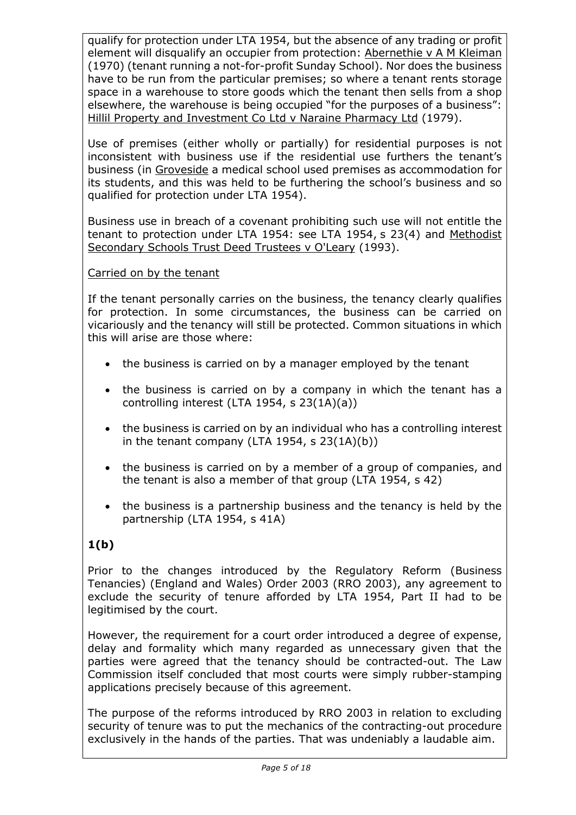qualify for protection under LTA 1954, but the absence of any trading or profit element will disqualify an occupier from protection: Abernethie v A M Kleiman (1970) (tenant running a not-for-profit Sunday School). Nor does the business have to be run from the particular premises; so where a tenant rents storage space in a warehouse to store goods which the tenant then sells from a shop elsewhere, the warehouse is being occupied "for the purposes of a business": Hillil Property and Investment Co Ltd v Naraine Pharmacy Ltd (1979).

Use of premises (either wholly or partially) for residential purposes is not inconsistent with business use if the residential use furthers the tenant's business (in Groveside a medical school used premises as accommodation for its students, and this was held to be furthering the school's business and so qualified for protection under LTA 1954).

Business use in breach of a covenant prohibiting such use will not entitle the tenant to protection under LTA 1954: see LTA 1954, s 23(4) and Methodist Secondary Schools Trust Deed Trustees v O'Leary (1993).

## Carried on by the tenant

If the tenant personally carries on the business, the tenancy clearly qualifies for protection. In some circumstances, the business can be carried on vicariously and the tenancy will still be protected. Common situations in which this will arise are those where:

- the business is carried on by a manager employed by the tenant
- the business is carried on by a company in which the tenant has a controlling interest (LTA 1954, s 23(1A)(a))
- the business is carried on by an individual who has a controlling interest in the tenant company (LTA 1954, s  $23(1A)(b)$ )
- the business is carried on by a member of a group of companies, and the tenant is also a member of that group (LTA 1954, s 42)
- the business is a partnership business and the tenancy is held by the partnership (LTA 1954, s 41A)

# **1(b)**

Prior to the changes introduced by the Regulatory Reform (Business Tenancies) (England and Wales) Order 2003 (RRO 2003), any agreement to exclude the security of tenure afforded by LTA 1954, Part II had to be legitimised by the court.

However, the requirement for a court order introduced a degree of expense, delay and formality which many regarded as unnecessary given that the parties were agreed that the tenancy should be contracted-out. The Law Commission itself concluded that most courts were simply rubber-stamping applications precisely because of this agreement.

The purpose of the reforms introduced by RRO 2003 in relation to excluding security of tenure was to put the mechanics of the contracting-out procedure exclusively in the hands of the parties. That was undeniably a laudable aim.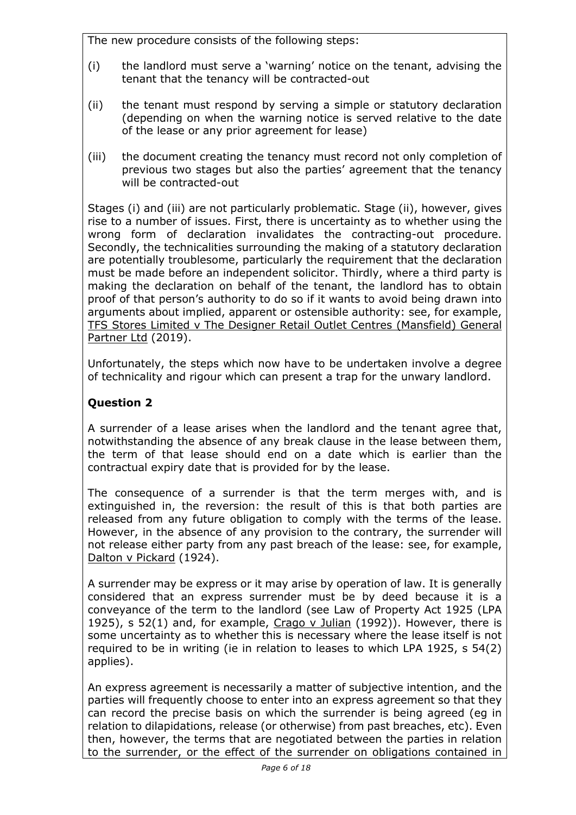The new procedure consists of the following steps:

- (i) the landlord must serve a 'warning' notice on the tenant, advising the tenant that the tenancy will be contracted-out
- (ii) the tenant must respond by serving a simple or statutory declaration (depending on when the warning notice is served relative to the date of the lease or any prior agreement for lease)
- (iii) the document creating the tenancy must record not only completion of previous two stages but also the parties' agreement that the tenancy will be contracted-out

Stages (i) and (iii) are not particularly problematic. Stage (ii), however, gives rise to a number of issues. First, there is uncertainty as to whether using the wrong form of declaration invalidates the contracting-out procedure. Secondly, the technicalities surrounding the making of a statutory declaration are potentially troublesome, particularly the requirement that the declaration must be made before an independent solicitor. Thirdly, where a third party is making the declaration on behalf of the tenant, the landlord has to obtain proof of that person's authority to do so if it wants to avoid being drawn into arguments about implied, apparent or ostensible authority: see, for example, TFS Stores Limited v The Designer Retail Outlet Centres (Mansfield) General Partner Ltd (2019).

Unfortunately, the steps which now have to be undertaken involve a degree of technicality and rigour which can present a trap for the unwary landlord.

# **Question 2**

A surrender of a lease arises when the landlord and the tenant agree that, notwithstanding the absence of any break clause in the lease between them, the term of that lease should end on a date which is earlier than the contractual expiry date that is provided for by the lease.

The consequence of a surrender is that the term merges with, and is extinguished in, the reversion: the result of this is that both parties are released from any future obligation to comply with the terms of the lease. However, in the absence of any provision to the contrary, the surrender will not release either party from any past breach of the lease: see, for example, Dalton v Pickard (1924).

A surrender may be express or it may arise by operation of law. It is generally considered that an express surrender must be by deed because it is a conveyance of the term to the landlord (see Law of Property Act 1925 (LPA 1925), s 52(1) and, for example, Crago v Julian (1992)). However, there is some uncertainty as to whether this is necessary where the lease itself is not required to be in writing (ie in relation to leases to which LPA 1925, s 54(2) applies).

An express agreement is necessarily a matter of subjective intention, and the parties will frequently choose to enter into an express agreement so that they can record the precise basis on which the surrender is being agreed (eg in relation to dilapidations, release (or otherwise) from past breaches, etc). Even then, however, the terms that are negotiated between the parties in relation to the surrender, or the effect of the surrender on obligations contained in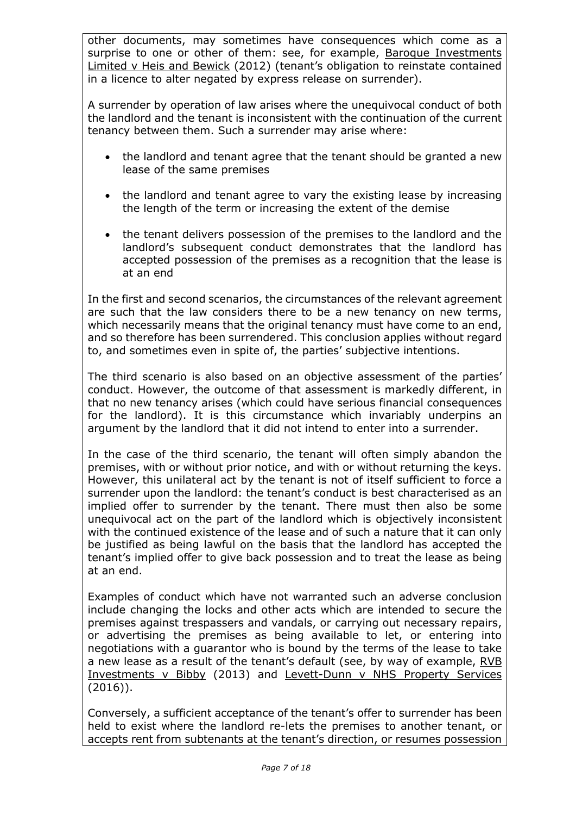other documents, may sometimes have consequences which come as a surprise to one or other of them: see, for example, Baroque Investments Limited v Heis and Bewick (2012) (tenant's obligation to reinstate contained in a licence to alter negated by express release on surrender).

A surrender by operation of law arises where the unequivocal conduct of both the landlord and the tenant is inconsistent with the continuation of the current tenancy between them. Such a surrender may arise where:

- the landlord and tenant agree that the tenant should be granted a new lease of the same premises
- the landlord and tenant agree to vary the existing lease by increasing the length of the term or increasing the extent of the demise
- the tenant delivers possession of the premises to the landlord and the landlord's subsequent conduct demonstrates that the landlord has accepted possession of the premises as a recognition that the lease is at an end

In the first and second scenarios, the circumstances of the relevant agreement are such that the law considers there to be a new tenancy on new terms, which necessarily means that the original tenancy must have come to an end, and so therefore has been surrendered. This conclusion applies without regard to, and sometimes even in spite of, the parties' subjective intentions.

The third scenario is also based on an objective assessment of the parties' conduct. However, the outcome of that assessment is markedly different, in that no new tenancy arises (which could have serious financial consequences for the landlord). It is this circumstance which invariably underpins an argument by the landlord that it did not intend to enter into a surrender.

In the case of the third scenario, the tenant will often simply abandon the premises, with or without prior notice, and with or without returning the keys. However, this unilateral act by the tenant is not of itself sufficient to force a surrender upon the landlord: the tenant's conduct is best characterised as an implied offer to surrender by the tenant. There must then also be some unequivocal act on the part of the landlord which is objectively inconsistent with the continued existence of the lease and of such a nature that it can only be justified as being lawful on the basis that the landlord has accepted the tenant's implied offer to give back possession and to treat the lease as being at an end.

Examples of conduct which have not warranted such an adverse conclusion include changing the locks and other acts which are intended to secure the premises against trespassers and vandals, or carrying out necessary repairs, or advertising the premises as being available to let, or entering into negotiations with a guarantor who is bound by the terms of the lease to take a new lease as a result of the tenant's default (see, by way of example, RVB Investments v Bibby (2013) and Levett-Dunn v NHS Property Services (2016)).

Conversely, a sufficient acceptance of the tenant's offer to surrender has been held to exist where the landlord re-lets the premises to another tenant, or accepts rent from subtenants at the tenant's direction, or resumes possession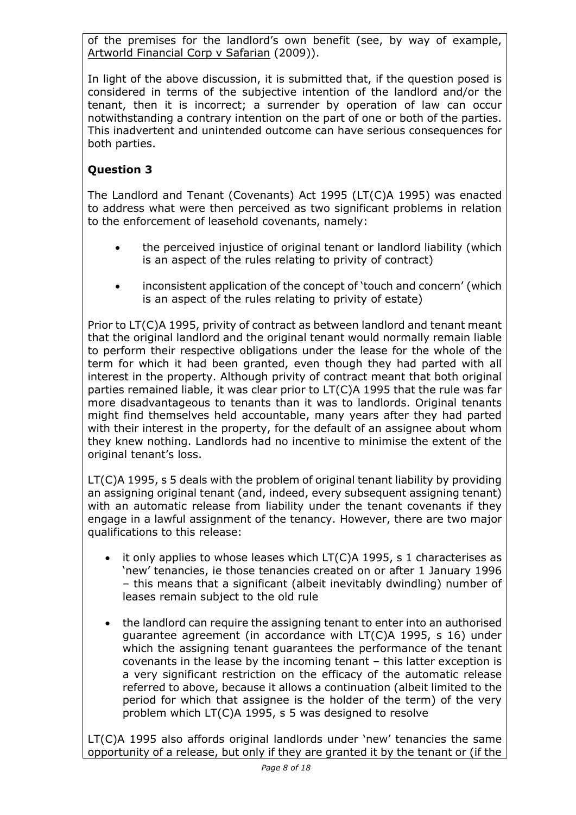of the premises for the landlord's own benefit (see, by way of example, Artworld Financial Corp v Safarian (2009)).

In light of the above discussion, it is submitted that, if the question posed is considered in terms of the subjective intention of the landlord and/or the tenant, then it is incorrect; a surrender by operation of law can occur notwithstanding a contrary intention on the part of one or both of the parties. This inadvertent and unintended outcome can have serious consequences for both parties.

# **Question 3**

The Landlord and Tenant (Covenants) Act 1995 (LT(C)A 1995) was enacted to address what were then perceived as two significant problems in relation to the enforcement of leasehold covenants, namely:

- the perceived injustice of original tenant or landlord liability (which is an aspect of the rules relating to privity of contract)
- inconsistent application of the concept of 'touch and concern' (which is an aspect of the rules relating to privity of estate)

Prior to LT(C)A 1995, privity of contract as between landlord and tenant meant that the original landlord and the original tenant would normally remain liable to perform their respective obligations under the lease for the whole of the term for which it had been granted, even though they had parted with all interest in the property. Although privity of contract meant that both original parties remained liable, it was clear prior to LT(C)A 1995 that the rule was far more disadvantageous to tenants than it was to landlords. Original tenants might find themselves held accountable, many years after they had parted with their interest in the property, for the default of an assignee about whom they knew nothing. Landlords had no incentive to minimise the extent of the original tenant's loss.

LT(C)A 1995, s 5 deals with the problem of original tenant liability by providing an assigning original tenant (and, indeed, every subsequent assigning tenant) with an automatic release from liability under the tenant covenants if they engage in a lawful assignment of the tenancy. However, there are two major qualifications to this release:

- it only applies to whose leases which  $LT(C)$ A 1995, s 1 characterises as 'new' tenancies, ie those tenancies created on or after 1 January 1996 – this means that a significant (albeit inevitably dwindling) number of leases remain subject to the old rule
- the landlord can require the assigning tenant to enter into an authorised guarantee agreement (in accordance with LT(C)A 1995, s 16) under which the assigning tenant guarantees the performance of the tenant covenants in the lease by the incoming tenant – this latter exception is a very significant restriction on the efficacy of the automatic release referred to above, because it allows a continuation (albeit limited to the period for which that assignee is the holder of the term) of the very problem which LT(C)A 1995, s 5 was designed to resolve

LT(C)A 1995 also affords original landlords under 'new' tenancies the same opportunity of a release, but only if they are granted it by the tenant or (if the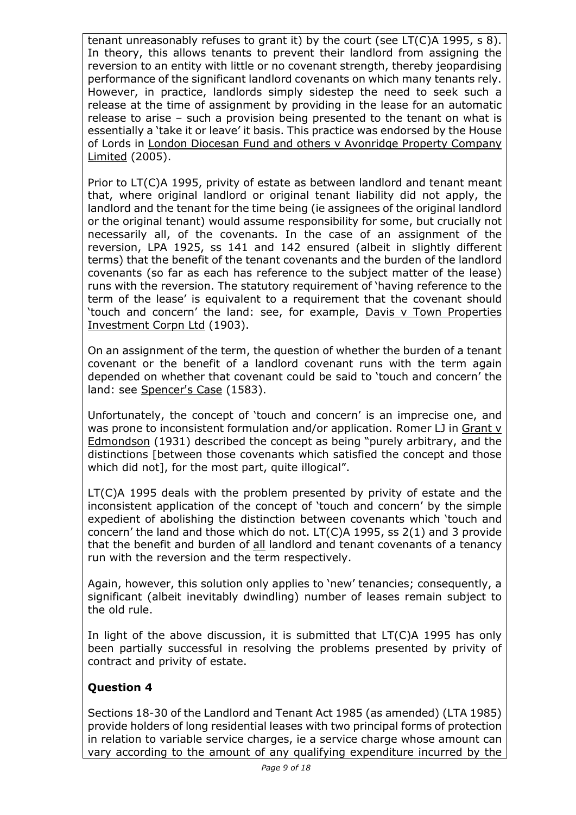tenant unreasonably refuses to grant it) by the court (see LT(C)A 1995, s 8). In theory, this allows tenants to prevent their landlord from assigning the reversion to an entity with little or no covenant strength, thereby jeopardising performance of the significant landlord covenants on which many tenants rely. However, in practice, landlords simply sidestep the need to seek such a release at the time of assignment by providing in the lease for an automatic release to arise – such a provision being presented to the tenant on what is essentially a 'take it or leave' it basis. This practice was endorsed by the House of Lords in London Diocesan Fund and others v Avonridge Property Company Limited (2005).

Prior to LT(C)A 1995, privity of estate as between landlord and tenant meant that, where original landlord or original tenant liability did not apply, the landlord and the tenant for the time being (ie assignees of the original landlord or the original tenant) would assume responsibility for some, but crucially not necessarily all, of the covenants. In the case of an assignment of the reversion, LPA 1925, ss 141 and 142 ensured (albeit in slightly different terms) that the benefit of the tenant covenants and the burden of the landlord covenants (so far as each has reference to the subject matter of the lease) runs with the reversion. The statutory requirement of 'having reference to the term of the lease' is equivalent to a requirement that the covenant should 'touch and concern' the land: see, for example, Davis v Town Properties Investment Corpn Ltd (1903).

On an assignment of the term, the question of whether the burden of a tenant covenant or the benefit of a landlord covenant runs with the term again depended on whether that covenant could be said to 'touch and concern' the land: see Spencer's Case (1583).

Unfortunately, the concept of 'touch and concern' is an imprecise one, and was prone to inconsistent formulation and/or application. Romer LJ in Grant v Edmondson (1931) described the concept as being "purely arbitrary, and the distinctions [between those covenants which satisfied the concept and those which did not], for the most part, quite illogical".

LT(C)A 1995 deals with the problem presented by privity of estate and the inconsistent application of the concept of 'touch and concern' by the simple expedient of abolishing the distinction between covenants which 'touch and concern' the land and those which do not. LT(C)A 1995, ss 2(1) and 3 provide that the benefit and burden of all landlord and tenant covenants of a tenancy run with the reversion and the term respectively.

Again, however, this solution only applies to 'new' tenancies; consequently, a significant (albeit inevitably dwindling) number of leases remain subject to the old rule.

In light of the above discussion, it is submitted that LT(C)A 1995 has only been partially successful in resolving the problems presented by privity of contract and privity of estate.

# **Question 4**

Sections 18-30 of the Landlord and Tenant Act 1985 (as amended) (LTA 1985) provide holders of long residential leases with two principal forms of protection in relation to variable service charges, ie a service charge whose amount can vary according to the amount of any qualifying expenditure incurred by the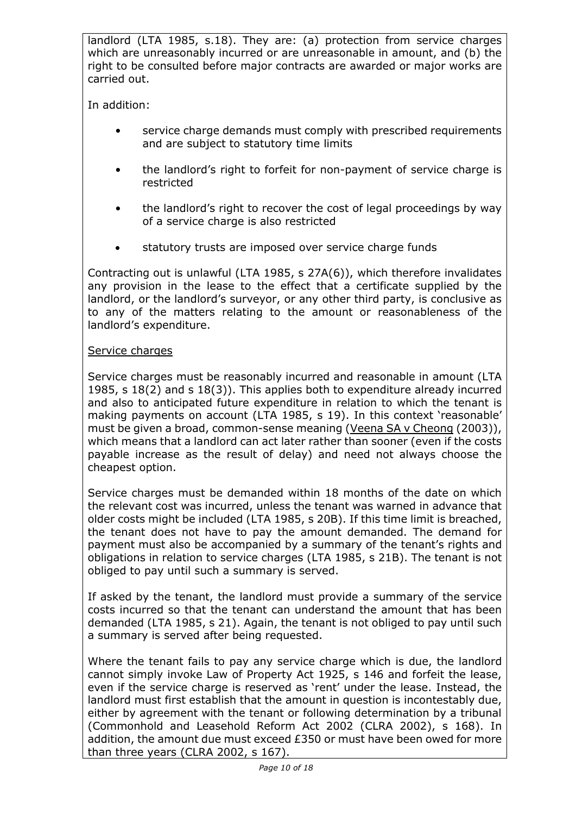landlord (LTA 1985, s.18). They are: (a) protection from service charges which are unreasonably incurred or are unreasonable in amount, and (b) the right to be consulted before major contracts are awarded or major works are carried out.

In addition:

- service charge demands must comply with prescribed requirements and are subject to statutory time limits
- the landlord's right to forfeit for non-payment of service charge is restricted
- the landlord's right to recover the cost of legal proceedings by way of a service charge is also restricted
- statutory trusts are imposed over service charge funds

Contracting out is unlawful (LTA 1985, s 27A(6)), which therefore invalidates any provision in the lease to the effect that a certificate supplied by the landlord, or the landlord's surveyor, or any other third party, is conclusive as to any of the matters relating to the amount or reasonableness of the landlord's expenditure.

## Service charges

Service charges must be reasonably incurred and reasonable in amount (LTA 1985, s 18(2) and s 18(3)). This applies both to expenditure already incurred and also to anticipated future expenditure in relation to which the tenant is making payments on account (LTA 1985, s 19). In this context 'reasonable' must be given a broad, common-sense meaning (Veena SA v Cheong (2003)), which means that a landlord can act later rather than sooner (even if the costs payable increase as the result of delay) and need not always choose the cheapest option.

Service charges must be demanded within 18 months of the date on which the relevant cost was incurred, unless the tenant was warned in advance that older costs might be included (LTA 1985, s 20B). If this time limit is breached, the tenant does not have to pay the amount demanded. The demand for payment must also be accompanied by a summary of the tenant's rights and obligations in relation to service charges (LTA 1985, s 21B). The tenant is not obliged to pay until such a summary is served.

If asked by the tenant, the landlord must provide a summary of the service costs incurred so that the tenant can understand the amount that has been demanded (LTA 1985, s 21). Again, the tenant is not obliged to pay until such a summary is served after being requested.

Where the tenant fails to pay any service charge which is due, the landlord cannot simply invoke Law of Property Act 1925, s 146 and forfeit the lease, even if the service charge is reserved as 'rent' under the lease. Instead, the landlord must first establish that the amount in question is incontestably due, either by agreement with the tenant or following determination by a tribunal (Commonhold and Leasehold Reform Act 2002 (CLRA 2002), s 168). In addition, the amount due must exceed £350 or must have been owed for more than three years (CLRA 2002, s 167).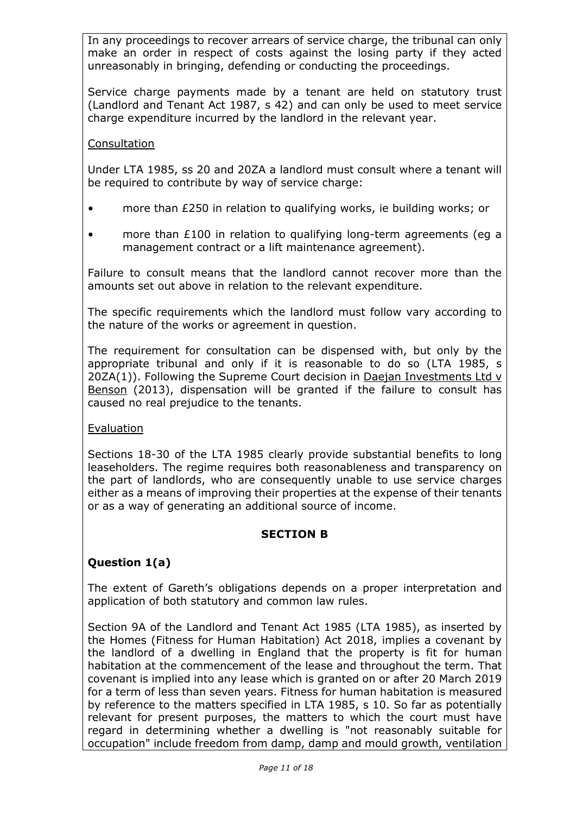In any proceedings to recover arrears of service charge, the tribunal can only make an order in respect of costs against the losing party if they acted unreasonably in bringing, defending or conducting the proceedings.

Service charge payments made by a tenant are held on statutory trust (Landlord and Tenant Act 1987, s 42) and can only be used to meet service charge expenditure incurred by the landlord in the relevant year.

#### **Consultation**

Under LTA 1985, ss 20 and 20ZA a landlord must consult where a tenant will be required to contribute by way of service charge:

- more than £250 in relation to qualifying works, ie building works; or
- more than £100 in relation to qualifying long-term agreements (eg a management contract or a lift maintenance agreement).

Failure to consult means that the landlord cannot recover more than the amounts set out above in relation to the relevant expenditure.

The specific requirements which the landlord must follow vary according to the nature of the works or agreement in question.

The requirement for consultation can be dispensed with, but only by the appropriate tribunal and only if it is reasonable to do so (LTA 1985, s 20ZA(1)). Following the Supreme Court decision in Daejan Investments Ltd v Benson (2013), dispensation will be granted if the failure to consult has caused no real prejudice to the tenants.

#### Evaluation

Sections 18-30 of the LTA 1985 clearly provide substantial benefits to long leaseholders. The regime requires both reasonableness and transparency on the part of landlords, who are consequently unable to use service charges either as a means of improving their properties at the expense of their tenants or as a way of generating an additional source of income.

#### **SECTION B**

#### **Question 1(a)**

The extent of Gareth's obligations depends on a proper interpretation and application of both statutory and common law rules.

Section 9A of the Landlord and Tenant Act 1985 (LTA 1985), as inserted by the Homes (Fitness for Human Habitation) Act 2018, implies a covenant by the landlord of a dwelling in England that the property is fit for human habitation at the commencement of the lease and throughout the term. That covenant is implied into any lease which is granted on or after 20 March 2019 for a term of less than seven years. Fitness for human habitation is measured by reference to the matters specified in LTA 1985, s 10. So far as potentially relevant for present purposes, the matters to which the court must have regard in determining whether a dwelling is "not reasonably suitable for occupation" include freedom from damp, damp and mould growth, ventilation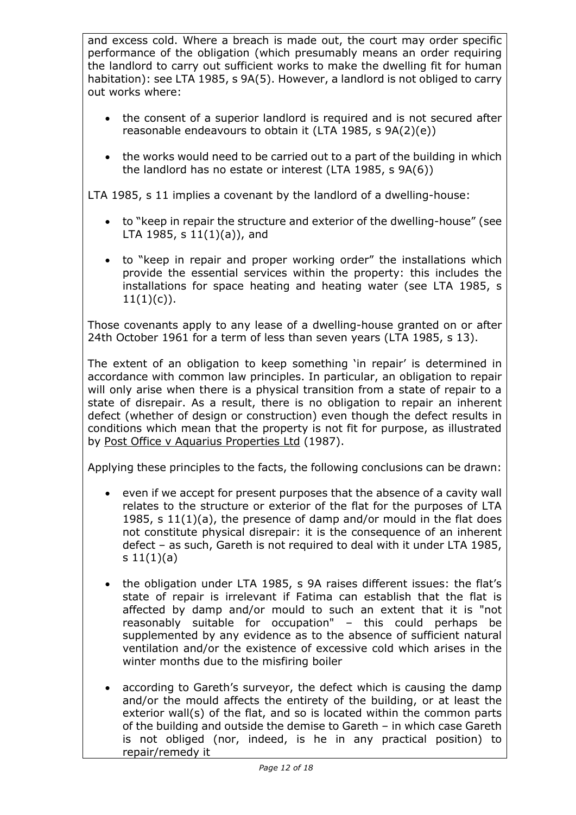and excess cold. Where a breach is made out, the court may order specific performance of the obligation (which presumably means an order requiring the landlord to carry out sufficient works to make the dwelling fit for human habitation): see LTA 1985, s 9A(5). However, a landlord is not obliged to carry out works where:

- the consent of a superior landlord is required and is not secured after reasonable endeavours to obtain it (LTA 1985, s 9A(2)(e))
- the works would need to be carried out to a part of the building in which the landlord has no estate or interest (LTA 1985, s 9A(6))

LTA 1985, s 11 implies a covenant by the landlord of a dwelling-house:

- to "keep in repair the structure and exterior of the dwelling-house" (see LTA 1985, s  $11(1)(a)$ , and
- to "keep in repair and proper working order" the installations which provide the essential services within the property: this includes the installations for space heating and heating water (see LTA 1985, s  $11(1)(c)$ .

Those covenants apply to any lease of a dwelling-house granted on or after 24th October 1961 for a term of less than seven years (LTA 1985, s 13).

The extent of an obligation to keep something 'in repair' is determined in accordance with common law principles. In particular, an obligation to repair will only arise when there is a physical transition from a state of repair to a state of disrepair. As a result, there is no obligation to repair an inherent defect (whether of design or construction) even though the defect results in conditions which mean that the property is not fit for purpose, as illustrated by Post Office v Aquarius Properties Ltd (1987).

Applying these principles to the facts, the following conclusions can be drawn:

- even if we accept for present purposes that the absence of a cavity wall relates to the structure or exterior of the flat for the purposes of LTA 1985, s 11(1)(a), the presence of damp and/or mould in the flat does not constitute physical disrepair: it is the consequence of an inherent defect – as such, Gareth is not required to deal with it under LTA 1985, s  $11(1)(a)$
- the obligation under LTA 1985, s 9A raises different issues: the flat's state of repair is irrelevant if Fatima can establish that the flat is affected by damp and/or mould to such an extent that it is "not reasonably suitable for occupation" – this could perhaps be supplemented by any evidence as to the absence of sufficient natural ventilation and/or the existence of excessive cold which arises in the winter months due to the misfiring boiler
- according to Gareth's surveyor, the defect which is causing the damp and/or the mould affects the entirety of the building, or at least the exterior wall(s) of the flat, and so is located within the common parts of the building and outside the demise to Gareth – in which case Gareth is not obliged (nor, indeed, is he in any practical position) to repair/remedy it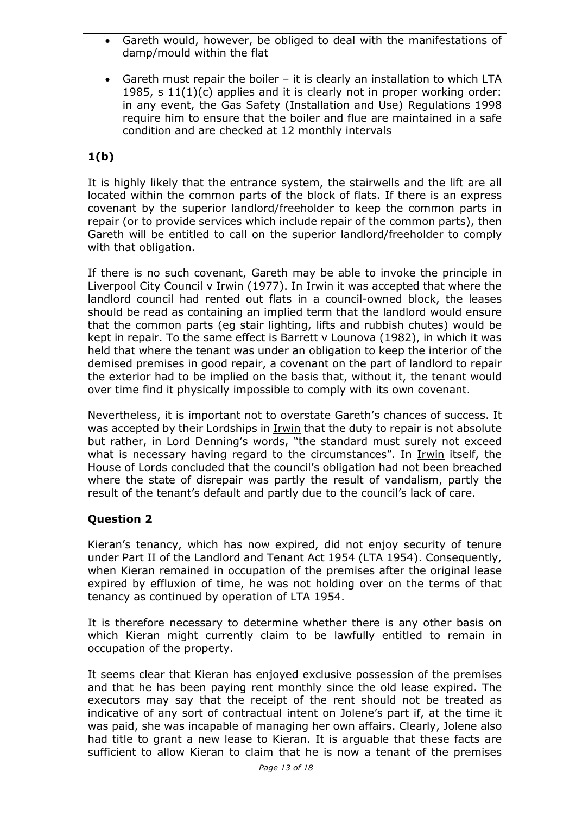- Gareth would, however, be obliged to deal with the manifestations of damp/mould within the flat
- Gareth must repair the boiler it is clearly an installation to which LTA 1985, s 11(1)(c) applies and it is clearly not in proper working order: in any event, the Gas Safety (Installation and Use) Regulations 1998 require him to ensure that the boiler and flue are maintained in a safe condition and are checked at 12 monthly intervals

# **1(b)**

It is highly likely that the entrance system, the stairwells and the lift are all located within the common parts of the block of flats. If there is an express covenant by the superior landlord/freeholder to keep the common parts in repair (or to provide services which include repair of the common parts), then Gareth will be entitled to call on the superior landlord/freeholder to comply with that obligation.

If there is no such covenant, Gareth may be able to invoke the principle in Liverpool City Council v Irwin (1977). In Irwin it was accepted that where the landlord council had rented out flats in a council-owned block, the leases should be read as containing an implied term that the landlord would ensure that the common parts (eg stair lighting, lifts and rubbish chutes) would be kept in repair. To the same effect is Barrett v Lounova (1982), in which it was held that where the tenant was under an obligation to keep the interior of the demised premises in good repair, a covenant on the part of landlord to repair the exterior had to be implied on the basis that, without it, the tenant would over time find it physically impossible to comply with its own covenant.

Nevertheless, it is important not to overstate Gareth's chances of success. It was accepted by their Lordships in Irwin that the duty to repair is not absolute but rather, in Lord Denning's words, "the standard must surely not exceed what is necessary having regard to the circumstances". In Irwin itself, the House of Lords concluded that the council's obligation had not been breached where the state of disrepair was partly the result of vandalism, partly the result of the tenant's default and partly due to the council's lack of care.

# **Question 2**

Kieran's tenancy, which has now expired, did not enjoy security of tenure under Part II of the Landlord and Tenant Act 1954 (LTA 1954). Consequently, when Kieran remained in occupation of the premises after the original lease expired by effluxion of time, he was not holding over on the terms of that tenancy as continued by operation of LTA 1954.

It is therefore necessary to determine whether there is any other basis on which Kieran might currently claim to be lawfully entitled to remain in occupation of the property.

It seems clear that Kieran has enjoyed exclusive possession of the premises and that he has been paying rent monthly since the old lease expired. The executors may say that the receipt of the rent should not be treated as indicative of any sort of contractual intent on Jolene's part if, at the time it was paid, she was incapable of managing her own affairs. Clearly, Jolene also had title to grant a new lease to Kieran. It is arguable that these facts are sufficient to allow Kieran to claim that he is now a tenant of the premises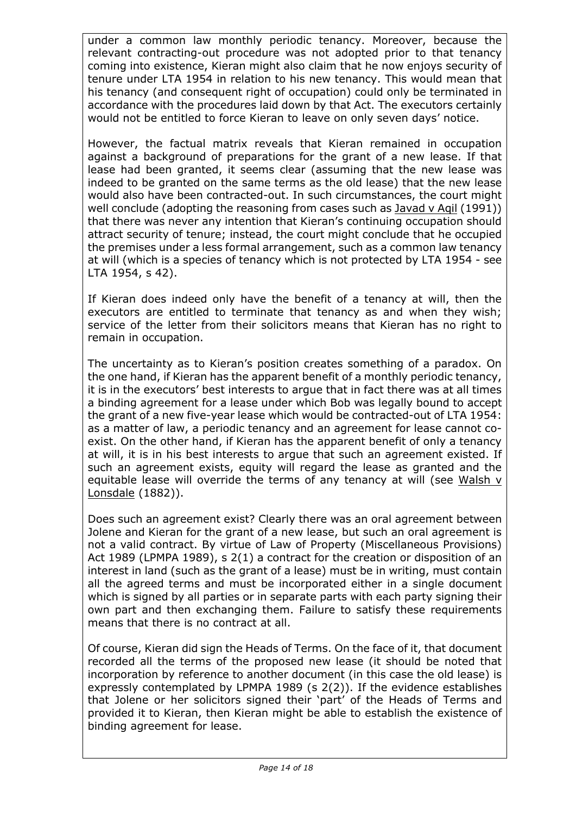under a common law monthly periodic tenancy. Moreover, because the relevant contracting-out procedure was not adopted prior to that tenancy coming into existence, Kieran might also claim that he now enjoys security of tenure under LTA 1954 in relation to his new tenancy. This would mean that his tenancy (and consequent right of occupation) could only be terminated in accordance with the procedures laid down by that Act. The executors certainly would not be entitled to force Kieran to leave on only seven days' notice.

However, the factual matrix reveals that Kieran remained in occupation against a background of preparations for the grant of a new lease. If that lease had been granted, it seems clear (assuming that the new lease was indeed to be granted on the same terms as the old lease) that the new lease would also have been contracted-out. In such circumstances, the court might well conclude (adopting the reasoning from cases such as Javad v Aqil (1991)) that there was never any intention that Kieran's continuing occupation should attract security of tenure; instead, the court might conclude that he occupied the premises under a less formal arrangement, such as a common law tenancy at will (which is a species of tenancy which is not protected by LTA 1954 - see LTA 1954, s 42).

If Kieran does indeed only have the benefit of a tenancy at will, then the executors are entitled to terminate that tenancy as and when they wish; service of the letter from their solicitors means that Kieran has no right to remain in occupation.

The uncertainty as to Kieran's position creates something of a paradox. On the one hand, if Kieran has the apparent benefit of a monthly periodic tenancy, it is in the executors' best interests to argue that in fact there was at all times a binding agreement for a lease under which Bob was legally bound to accept the grant of a new five-year lease which would be contracted-out of LTA 1954: as a matter of law, a periodic tenancy and an agreement for lease cannot coexist. On the other hand, if Kieran has the apparent benefit of only a tenancy at will, it is in his best interests to argue that such an agreement existed. If such an agreement exists, equity will regard the lease as granted and the equitable lease will override the terms of any tenancy at will (see Walsh v Lonsdale (1882)).

Does such an agreement exist? Clearly there was an oral agreement between Jolene and Kieran for the grant of a new lease, but such an oral agreement is not a valid contract. By virtue of Law of Property (Miscellaneous Provisions) Act 1989 (LPMPA 1989), s 2(1) a contract for the creation or disposition of an interest in land (such as the grant of a lease) must be in writing, must contain all the agreed terms and must be incorporated either in a single document which is signed by all parties or in separate parts with each party signing their own part and then exchanging them. Failure to satisfy these requirements means that there is no contract at all.

Of course, Kieran did sign the Heads of Terms. On the face of it, that document recorded all the terms of the proposed new lease (it should be noted that incorporation by reference to another document (in this case the old lease) is expressly contemplated by LPMPA 1989 (s 2(2)). If the evidence establishes that Jolene or her solicitors signed their 'part' of the Heads of Terms and provided it to Kieran, then Kieran might be able to establish the existence of binding agreement for lease.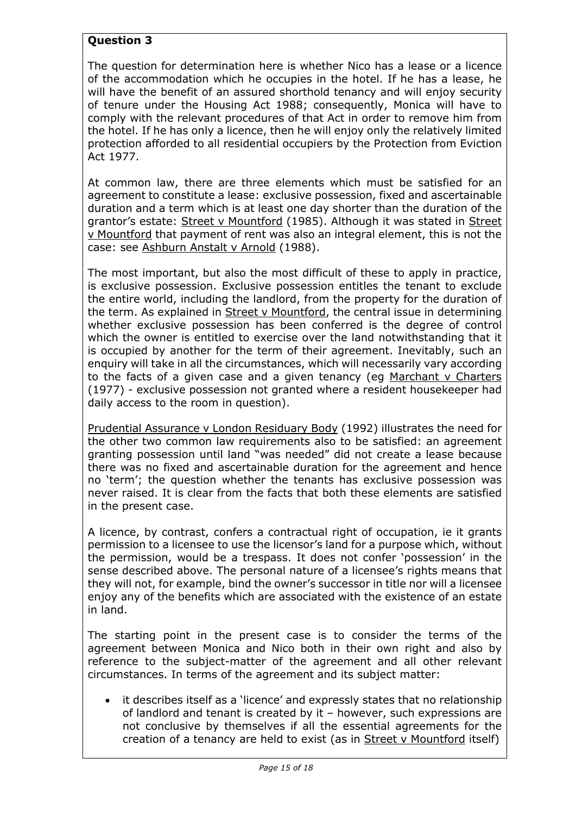# **Question 3**

The question for determination here is whether Nico has a lease or a licence of the accommodation which he occupies in the hotel. If he has a lease, he will have the benefit of an assured shorthold tenancy and will enjoy security of tenure under the Housing Act 1988; consequently, Monica will have to comply with the relevant procedures of that Act in order to remove him from the hotel. If he has only a licence, then he will enjoy only the relatively limited protection afforded to all residential occupiers by the Protection from Eviction Act 1977.

At common law, there are three elements which must be satisfied for an agreement to constitute a lease: exclusive possession, fixed and ascertainable duration and a term which is at least one day shorter than the duration of the grantor's estate: Street v Mountford (1985). Although it was stated in Street v Mountford that payment of rent was also an integral element, this is not the case: see Ashburn Anstalt v Arnold (1988).

The most important, but also the most difficult of these to apply in practice, is exclusive possession. Exclusive possession entitles the tenant to exclude the entire world, including the landlord, from the property for the duration of the term. As explained in Street v Mountford, the central issue in determining whether exclusive possession has been conferred is the degree of control which the owner is entitled to exercise over the land notwithstanding that it is occupied by another for the term of their agreement. Inevitably, such an enquiry will take in all the circumstances, which will necessarily vary according to the facts of a given case and a given tenancy (eg Marchant v Charters (1977) - exclusive possession not granted where a resident housekeeper had daily access to the room in question).

Prudential Assurance v London Residuary Body (1992) illustrates the need for the other two common law requirements also to be satisfied: an agreement granting possession until land "was needed" did not create a lease because there was no fixed and ascertainable duration for the agreement and hence no 'term'; the question whether the tenants has exclusive possession was never raised. It is clear from the facts that both these elements are satisfied in the present case.

A licence, by contrast, confers a contractual right of occupation, ie it grants permission to a licensee to use the licensor's land for a purpose which, without the permission, would be a trespass. It does not confer 'possession' in the sense described above. The personal nature of a licensee's rights means that they will not, for example, bind the owner's successor in title nor will a licensee enjoy any of the benefits which are associated with the existence of an estate in land.

The starting point in the present case is to consider the terms of the agreement between Monica and Nico both in their own right and also by reference to the subject-matter of the agreement and all other relevant circumstances. In terms of the agreement and its subject matter:

• it describes itself as a 'licence' and expressly states that no relationship of landlord and tenant is created by it – however, such expressions are not conclusive by themselves if all the essential agreements for the creation of a tenancy are held to exist (as in Street v Mountford itself)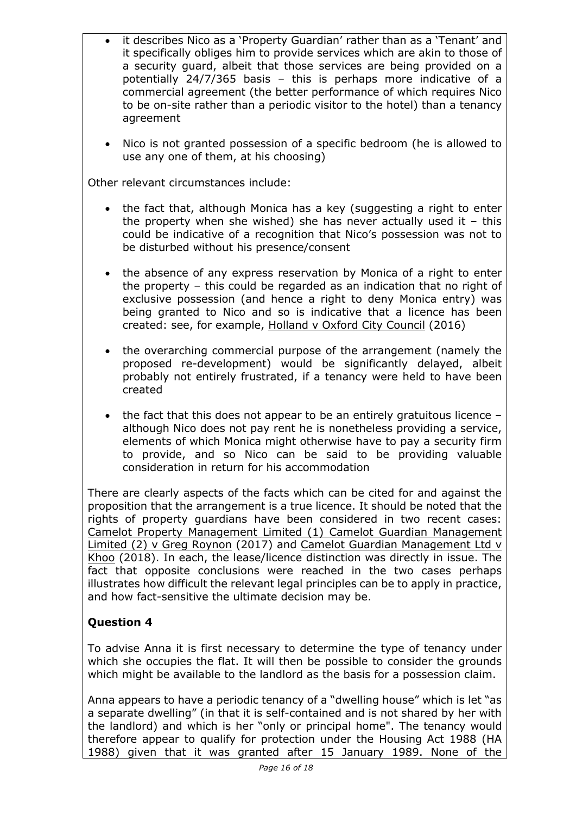- it describes Nico as a 'Property Guardian' rather than as a 'Tenant' and it specifically obliges him to provide services which are akin to those of a security guard, albeit that those services are being provided on a potentially 24/7/365 basis – this is perhaps more indicative of a commercial agreement (the better performance of which requires Nico to be on-site rather than a periodic visitor to the hotel) than a tenancy agreement
- Nico is not granted possession of a specific bedroom (he is allowed to use any one of them, at his choosing)

Other relevant circumstances include:

- the fact that, although Monica has a key (suggesting a right to enter the property when she wished) she has never actually used it  $-$  this could be indicative of a recognition that Nico's possession was not to be disturbed without his presence/consent
- the absence of any express reservation by Monica of a right to enter the property – this could be regarded as an indication that no right of exclusive possession (and hence a right to deny Monica entry) was being granted to Nico and so is indicative that a licence has been created: see, for example, Holland v Oxford City Council (2016)
- the overarching commercial purpose of the arrangement (namely the proposed re-development) would be significantly delayed, albeit probably not entirely frustrated, if a tenancy were held to have been created
- the fact that this does not appear to be an entirely gratuitous licence although Nico does not pay rent he is nonetheless providing a service, elements of which Monica might otherwise have to pay a security firm to provide, and so Nico can be said to be providing valuable consideration in return for his accommodation

There are clearly aspects of the facts which can be cited for and against the proposition that the arrangement is a true licence. It should be noted that the rights of property guardians have been considered in two recent cases: Camelot Property Management Limited (1) Camelot Guardian Management Limited (2) v Greg Roynon (2017) and Camelot Guardian Management Ltd v Khoo (2018). In each, the lease/licence distinction was directly in issue. The fact that opposite conclusions were reached in the two cases perhaps illustrates how difficult the relevant legal principles can be to apply in practice, and how fact-sensitive the ultimate decision may be.

# **Question 4**

To advise Anna it is first necessary to determine the type of tenancy under which she occupies the flat. It will then be possible to consider the grounds which might be available to the landlord as the basis for a possession claim.

Anna appears to have a periodic tenancy of a "dwelling house" which is let "as a separate dwelling" (in that it is self-contained and is not shared by her with the landlord) and which is her "only or principal home". The tenancy would therefore appear to qualify for protection under the Housing Act 1988 (HA 1988) given that it was granted after 15 January 1989. None of the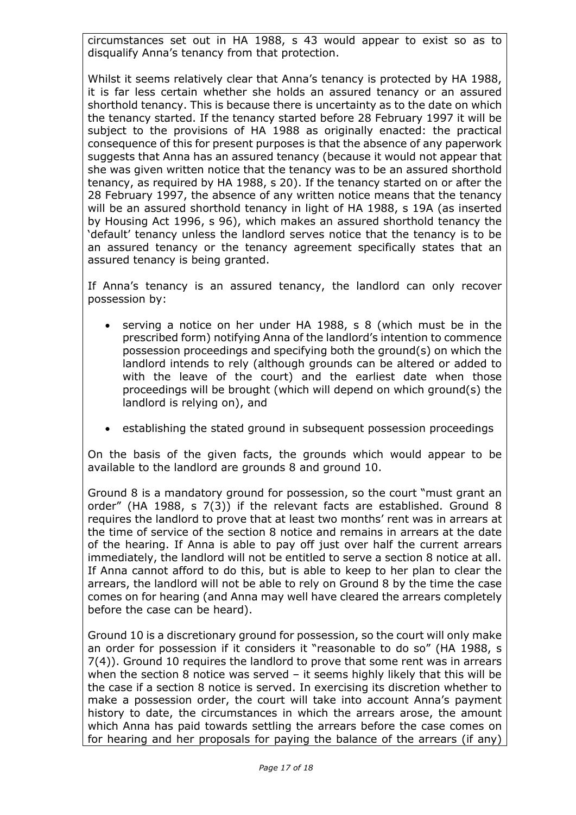circumstances set out in HA 1988, s 43 would appear to exist so as to disqualify Anna's tenancy from that protection.

Whilst it seems relatively clear that Anna's tenancy is protected by HA 1988, it is far less certain whether she holds an assured tenancy or an assured shorthold tenancy. This is because there is uncertainty as to the date on which the tenancy started. If the tenancy started before 28 February 1997 it will be subject to the provisions of HA 1988 as originally enacted: the practical consequence of this for present purposes is that the absence of any paperwork suggests that Anna has an assured tenancy (because it would not appear that she was given written notice that the tenancy was to be an assured shorthold tenancy, as required by HA 1988, s 20). If the tenancy started on or after the 28 February 1997, the absence of any written notice means that the tenancy will be an assured shorthold tenancy in light of HA 1988, s 19A (as inserted by Housing Act 1996, s 96), which makes an assured shorthold tenancy the 'default' tenancy unless the landlord serves notice that the tenancy is to be an assured tenancy or the tenancy agreement specifically states that an assured tenancy is being granted.

If Anna's tenancy is an assured tenancy, the landlord can only recover possession by:

- serving a notice on her under HA 1988, s 8 (which must be in the prescribed form) notifying Anna of the landlord's intention to commence possession proceedings and specifying both the ground(s) on which the landlord intends to rely (although grounds can be altered or added to with the leave of the court) and the earliest date when those proceedings will be brought (which will depend on which ground(s) the landlord is relying on), and
- establishing the stated ground in subsequent possession proceedings

On the basis of the given facts, the grounds which would appear to be available to the landlord are grounds 8 and ground 10.

Ground 8 is a mandatory ground for possession, so the court "must grant an order" (HA 1988, s 7(3)) if the relevant facts are established. Ground 8 requires the landlord to prove that at least two months' rent was in arrears at the time of service of the section 8 notice and remains in arrears at the date of the hearing. If Anna is able to pay off just over half the current arrears immediately, the landlord will not be entitled to serve a section 8 notice at all. If Anna cannot afford to do this, but is able to keep to her plan to clear the arrears, the landlord will not be able to rely on Ground 8 by the time the case comes on for hearing (and Anna may well have cleared the arrears completely before the case can be heard).

Ground 10 is a discretionary ground for possession, so the court will only make an order for possession if it considers it "reasonable to do so" (HA 1988, s 7(4)). Ground 10 requires the landlord to prove that some rent was in arrears when the section 8 notice was served – it seems highly likely that this will be the case if a section 8 notice is served. In exercising its discretion whether to make a possession order, the court will take into account Anna's payment history to date, the circumstances in which the arrears arose, the amount which Anna has paid towards settling the arrears before the case comes on for hearing and her proposals for paying the balance of the arrears (if any)